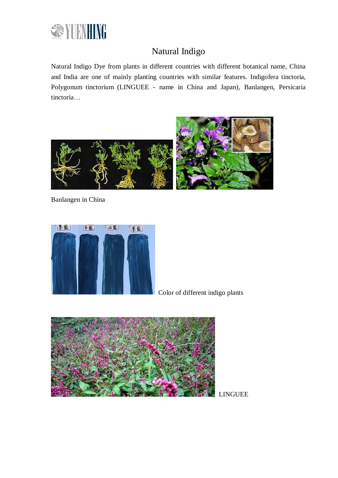

# Natural Indigo

Natural Indigo Dye from plants in different countries with different botanical name, China and India are one of mainly planting countries with similar features. Indigofera tinctoria, Polygonum tinctorium (LINGUEE - name in China and Japan), Banlangen, Persicaria tinctoria…



Banlangen in China



Color of different indigo plants



LINGUEE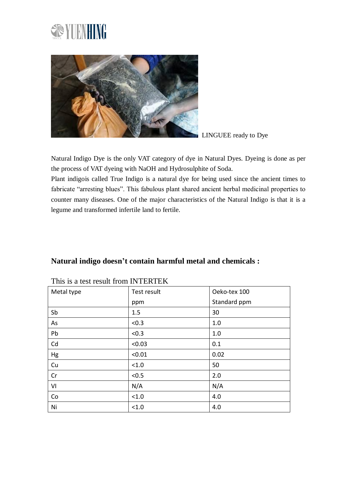



LINGUEE ready to Dye

Natural Indigo Dye is the only VAT category of dye in Natural Dyes. Dyeing is done as per the process of VAT dyeing with NaOH and Hydrosulphite of Soda.

Plant indigois called True Indigo is a natural dye for being used since the ancient times to fabricate "arresting blues". This fabulous plant shared ancient herbal medicinal properties to counter many diseases. One of the major characteristics of the Natural Indigo is that it is a legume and transformed infertile land to fertile.

| Natural indigo doesn't contain harmful metal and chemicals : |  |
|--------------------------------------------------------------|--|
|--------------------------------------------------------------|--|

| Metal type | Test result | Oeko-tex 100 |
|------------|-------------|--------------|
|            | ppm         | Standard ppm |
| Sb         | 1.5         | 30           |
| As         | < 0.3       | 1.0          |
| Pb         | < 0.3       | 1.0          |
| Cd         | < 0.03      | 0.1          |
| Hg         | < 0.01      | 0.02         |
| Cu         | < 1.0       | 50           |
| Cr         | < 0.5       | 2.0          |
| VI         | N/A         | N/A          |
| Co         | < 1.0       | 4.0          |
| Ni         | < 1.0       | 4.0          |

#### This is a test result from INTERTEK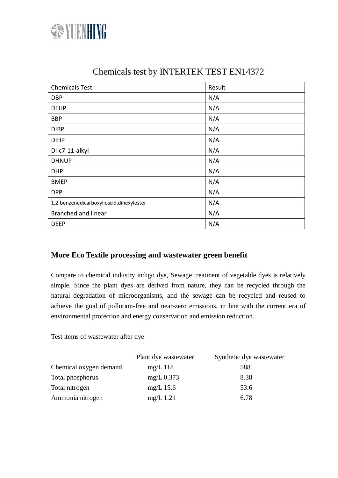

| <b>Chemicals Test</b>                     | Result |
|-------------------------------------------|--------|
| <b>DBP</b>                                | N/A    |
| <b>DEHP</b>                               | N/A    |
| <b>BBP</b>                                | N/A    |
| <b>DIBP</b>                               | N/A    |
| <b>DIHP</b>                               | N/A    |
| Di-c7-11-alkyl                            | N/A    |
| <b>DHNUP</b>                              | N/A    |
| <b>DHP</b>                                | N/A    |
| <b>BMEP</b>                               | N/A    |
| <b>DPP</b>                                | N/A    |
| 1,2-benzenedicarboxylicacid, dihexylester | N/A    |
| <b>Branched and linear</b>                | N/A    |
| <b>DEEP</b>                               | N/A    |

## Chemicals test by INTERTEK TEST EN14372

### **More Eco Textile processing and wastewater green benefit**

Compare to chemical industry indigo dye, Sewage treatment of vegetable dyes is relatively simple. Since the plant dyes are derived from nature, they can be recycled through the natural degradation of microorganisms, and the sewage can be recycled and reused to achieve the goal of pollution-free and near-zero emissions, in line with the current era of environmental protection and energy conservation and emission reduction.

Test items of wastewater after dye

|                        | Plant dye wastewater | Synthetic dye wastewater |
|------------------------|----------------------|--------------------------|
| Chemical oxygen demand | $mg/L$ 118           | 588                      |
| Total phosphorus       | $mg/L$ 0.373         | 8.38                     |
| Total nitrogen         | $mg/L$ 15.6          | 53.6                     |
| Ammonia nitrogen       | $mg/L$ 1.21          | 6.78                     |